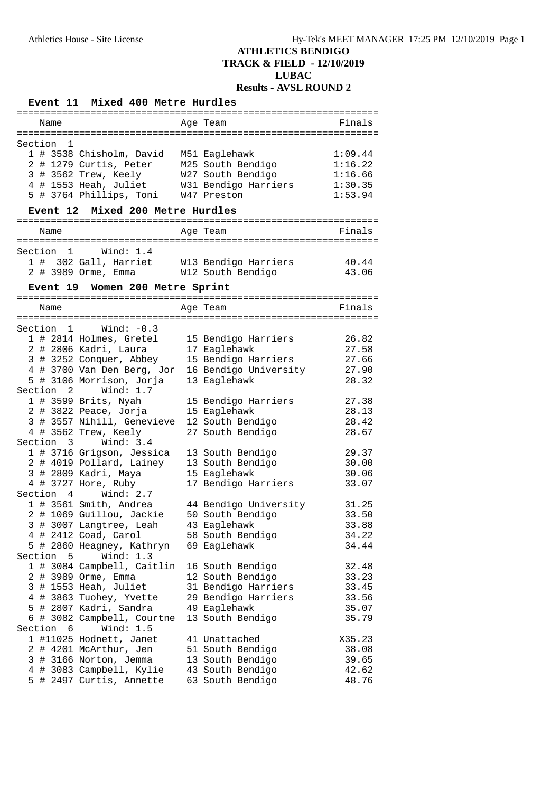# **Event 11 Mixed 400 Metre Hurdles**

| Name                                             | Age Team              | Finals  |
|--------------------------------------------------|-----------------------|---------|
|                                                  |                       |         |
| Section 1                                        |                       |         |
| 1 # 3538 Chisholm, David                         | M51 Eaglehawk         | 1:09.44 |
| 2 # 1279 Curtis, Peter                           | M25 South Bendigo     | 1:16.22 |
| 3 # 3562 Trew, Keely                             | W27 South Bendigo     | 1:16.66 |
| 4 # 1553 Heah, Juliet                            | W31 Bendigo Harriers  | 1:30.35 |
| 5 # 3764 Phillips, Toni                          | W47 Preston           | 1:53.94 |
|                                                  |                       |         |
| Mixed 200 Metre Hurdles<br>Event 12              |                       |         |
|                                                  |                       |         |
| Name                                             | Age Team              | Finals  |
|                                                  |                       |         |
| Section 1<br>Wind: 1.4                           |                       |         |
| 1 # 302 Gall, Harriet W13 Bendigo Harriers       |                       | 40.44   |
| 2 # 3989 Orme, Emma W12 South Bendigo            |                       | 43.06   |
| Event 19 Women 200 Metre Sprint                  |                       |         |
|                                                  |                       |         |
| Name                                             | Age Team              | Finals  |
|                                                  |                       |         |
| $Section 1$ Wind: $-0.3$                         |                       |         |
| 1 # 2814 Holmes, Gretel                          | 15 Bendigo Harriers   | 26.82   |
| 2 # 2806 Kadri, Laura                            | 17 Eaglehawk          | 27.58   |
| 3 # 3252 Conquer, Abbey                          | 15 Bendigo Harriers   | 27.66   |
|                                                  | 16 Bendigo University |         |
| 4 # 3700 Van Den Berg, Jor                       |                       | 27.90   |
| 5 # 3106 Morrison, Jorja                         | 13 Eaglehawk          | 28.32   |
| Section 2 Wind: 1.7                              |                       |         |
| 1 # 3599 Brits, Nyah                             | 15 Bendigo Harriers   | 27.38   |
| 2 # 3822 Peace, Jorja                            | 15 Eaglehawk          | 28.13   |
| 3 # 3557 Nihill, Genevieve                       | 12 South Bendigo      | 28.42   |
| 4 # 3562 Trew, Keely                             | 27 South Bendigo      | 28.67   |
| Section 3 Wind: 3.4                              |                       |         |
| 1 # 3716 Grigson, Jessica                        | 13 South Bendigo      | 29.37   |
| 2 # 4019 Pollard, Lainey                         | 13 South Bendigo      | 30.00   |
| 3 # 2809 Kadri, Maya                             | 15 Eaglehawk          | 30.06   |
| 4 # 3727 Hore, Ruby                              | 17 Bendigo Harriers   | 33.07   |
| Section 4 Wind: 2.7                              |                       |         |
| 1 # 3561 Smith, Andrea                           | 44 Bendigo University | 31.25   |
| 2 # 1069 Guillou, Jackie                         | 50 South Bendigo      | 33.50   |
| 3 # 3007 Langtree, Leah                          | 43 Eaglehawk          | 33.88   |
| 4 # 2412 Coad, Carol                             | 58 South Bendigo      | 34.22   |
| 5 # 2860 Heagney, Kathryn                        | 69 Eaglehawk          | 34.44   |
| Section<br>5<br>Wind: 1.3                        |                       |         |
| 1 # 3084 Campbell, Caitlin                       | 16 South Bendigo      | 32.48   |
| 2 # 3989 Orme, Emma                              | 12 South Bendigo      | 33.23   |
| 3 # 1553 Heah, Juliet                            | 31 Bendigo Harriers   | 33.45   |
| 4 # 3863 Tuohey, Yvette                          | 29 Bendigo Harriers   | 33.56   |
| 5 # 2807 Kadri, Sandra                           | 49 Eaglehawk          | 35.07   |
| 6 # 3082 Campbell, Courtne                       | 13 South Bendigo      | 35.79   |
| Section 6<br>Wind: $1.5$                         |                       |         |
| 1 #11025 Hodnett, Janet                          | 41 Unattached         | X35.23  |
|                                                  |                       | 38.08   |
| 2 # 4201 McArthur, Jen<br>3 # 3166 Norton, Jemma | 51 South Bendigo      |         |
|                                                  | 13 South Bendigo      | 39.65   |
| 4 # 3083 Campbell, Kylie                         | 43 South Bendigo      | 42.62   |
| 5 # 2497 Curtis, Annette                         | 63 South Bendigo      | 48.76   |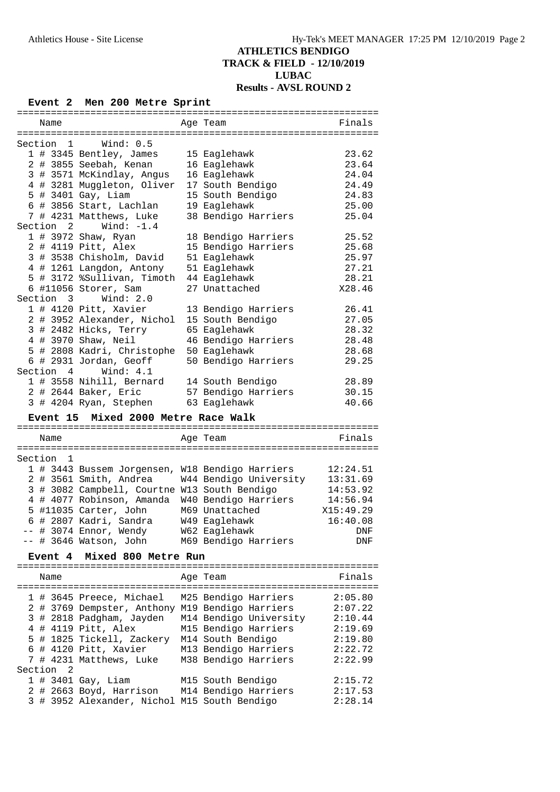#### **Event 2 Men 200 Metre Sprint**

| Name                       |                                              | Age Team                                                                            | Finals             |  |  |  |  |  |
|----------------------------|----------------------------------------------|-------------------------------------------------------------------------------------|--------------------|--|--|--|--|--|
|                            |                                              |                                                                                     |                    |  |  |  |  |  |
| Section<br>1               | Wind: 0.5                                    |                                                                                     |                    |  |  |  |  |  |
| 1 # 3345 Bentley, James    |                                              | 15 Eaglehawk                                                                        | 23.62              |  |  |  |  |  |
| 2 # 3855 Seebah, Kenan     |                                              | 16 Eaglehawk                                                                        | 23.64              |  |  |  |  |  |
| 3 # 3571 McKindlay, Angus  |                                              | 16 Eaglehawk                                                                        | 24.04              |  |  |  |  |  |
|                            |                                              |                                                                                     | 24.49              |  |  |  |  |  |
| 4 # 3281 Muggleton, Oliver |                                              | 17 South Bendigo                                                                    |                    |  |  |  |  |  |
| 5 # 3401 Gay, Liam         |                                              | 15 South Bendigo                                                                    | 24.83              |  |  |  |  |  |
| 6 # 3856 Start, Lachlan    |                                              | 19 Eaglehawk                                                                        | 25.00              |  |  |  |  |  |
| 7 # 4231 Matthews, Luke    |                                              | 38 Bendigo Harriers                                                                 | 25.04              |  |  |  |  |  |
| Section 2 Wind: -1.4       |                                              |                                                                                     |                    |  |  |  |  |  |
| 1 # 3972 Shaw, Ryan        |                                              | 18 Bendigo Harriers                                                                 | 25.52              |  |  |  |  |  |
| 2 # 4119 Pitt, Alex        |                                              | 15 Bendigo Harriers                                                                 | 25.68              |  |  |  |  |  |
| 3 # 3538 Chisholm, David   |                                              | 51 Eaglehawk                                                                        | 25.97              |  |  |  |  |  |
| 4 # 1261 Langdon, Antony   |                                              | 51 Eaglehawk                                                                        | 27.21              |  |  |  |  |  |
| 5 # 3172 %Sullivan, Timoth |                                              | 44 Eaglehawk                                                                        | 28.21              |  |  |  |  |  |
| 6 #11056 Storer, Sam       |                                              | 27 Unattached                                                                       | X28.46             |  |  |  |  |  |
| Section 3 Wind: 2.0        |                                              |                                                                                     |                    |  |  |  |  |  |
|                            |                                              |                                                                                     |                    |  |  |  |  |  |
| 1 # 4120 Pitt, Xavier      |                                              | 13 Bendigo Harriers                                                                 | 26.41              |  |  |  |  |  |
| 2 # 3952 Alexander, Nichol |                                              | 15 South Bendigo                                                                    | 27.05              |  |  |  |  |  |
| 3 # 2482 Hicks, Terry      |                                              | 65 Eaglehawk                                                                        | 28.32              |  |  |  |  |  |
| 4 # 3970 Shaw, Neil        |                                              | 46 Bendigo Harriers                                                                 | 28.48              |  |  |  |  |  |
| 5 # 2808 Kadri, Christophe |                                              | 50 Eaglehawk                                                                        | 28.68              |  |  |  |  |  |
| 6 # 2931 Jordan, Geoff     |                                              | 50 Bendigo Harriers                                                                 | 29.25              |  |  |  |  |  |
| Section 4                  | Wind: $4.1$                                  |                                                                                     |                    |  |  |  |  |  |
|                            | 1 # 3558 Nihill, Bernard 14 South Bendigo    |                                                                                     | 28.89              |  |  |  |  |  |
| 2 # 2644 Baker, Eric       |                                              | 57 Bendigo Harriers                                                                 | 30.15              |  |  |  |  |  |
| 3 # 4204 Ryan, Stephen     |                                              | 63 Eaglehawk                                                                        | 40.66              |  |  |  |  |  |
|                            |                                              |                                                                                     |                    |  |  |  |  |  |
|                            | Mixed 2000 Metre Race Walk                   |                                                                                     |                    |  |  |  |  |  |
| <b>Event 15</b>            |                                              |                                                                                     |                    |  |  |  |  |  |
|                            |                                              |                                                                                     |                    |  |  |  |  |  |
| Name                       |                                              | Age Team                                                                            | Finals             |  |  |  |  |  |
|                            |                                              |                                                                                     |                    |  |  |  |  |  |
|                            |                                              |                                                                                     |                    |  |  |  |  |  |
| Section 1                  |                                              |                                                                                     |                    |  |  |  |  |  |
|                            |                                              | 1 # 3443 Bussem Jorgensen, W18 Bendigo Harriers                                     | 12:24.51           |  |  |  |  |  |
| 2 # 3561 Smith, Andrea     |                                              | W44 Bendigo University                                                              | 13:31.69           |  |  |  |  |  |
|                            | 3 # 3082 Campbell, Courtne W13 South Bendigo |                                                                                     | 14:53.92           |  |  |  |  |  |
| 4 # 4077 Robinson, Amanda  |                                              | W40 Bendigo Harriers                                                                | 14:56.94           |  |  |  |  |  |
| 5 #11035 Carter, John      |                                              | M69 Unattached                                                                      | X15:49.29          |  |  |  |  |  |
| 6 # 2807 Kadri, Sandra     |                                              | W49 Eaglehawk                                                                       | 16:40.08           |  |  |  |  |  |
|                            |                                              |                                                                                     | <b>DNF</b>         |  |  |  |  |  |
|                            |                                              | -- # 3074 Ennor, Wendy M62 Eaglehawk<br>-- # 3646 Watson, John M69 Bendigo Harriers | DNF                |  |  |  |  |  |
|                            |                                              |                                                                                     |                    |  |  |  |  |  |
| <b>Event 4</b>             | Mixed 800 Metre Run                          |                                                                                     |                    |  |  |  |  |  |
|                            |                                              |                                                                                     |                    |  |  |  |  |  |
| Name                       |                                              | Age Team                                                                            | Finals             |  |  |  |  |  |
|                            |                                              |                                                                                     |                    |  |  |  |  |  |
| 1 # 3645 Preece, Michael   |                                              | M25 Bendigo Harriers                                                                | 2:05.80            |  |  |  |  |  |
|                            |                                              | 2 # 3769 Dempster, Anthony M19 Bendigo Harriers                                     | 2:07.22            |  |  |  |  |  |
| 3 # 2818 Padgham, Jayden   |                                              | M14 Bendigo University                                                              | 2:10.44            |  |  |  |  |  |
| 4 # 4119 Pitt, Alex        |                                              | M15 Bendigo Harriers                                                                | 2:19.69            |  |  |  |  |  |
|                            |                                              |                                                                                     | 2:19.80            |  |  |  |  |  |
|                            | 5 # 1825 Tickell, Zackery M14 South Bendigo  |                                                                                     |                    |  |  |  |  |  |
| 6 # 4120 Pitt, Xavier      |                                              | M13 Bendigo Harriers                                                                | 2:22.72            |  |  |  |  |  |
| 7 # 4231 Matthews, Luke    |                                              | M38 Bendigo Harriers                                                                | 2:22.99            |  |  |  |  |  |
| Section 2                  |                                              |                                                                                     |                    |  |  |  |  |  |
| 1 # 3401 Gay, Liam         |                                              | M15 South Bendigo                                                                   | 2:15.72            |  |  |  |  |  |
|                            | 3 # 3952 Alexander, Nichol M15 South Bendigo | 2 # 2663 Boyd, Harrison M14 Bendigo Harriers                                        | 2:17.53<br>2:28.14 |  |  |  |  |  |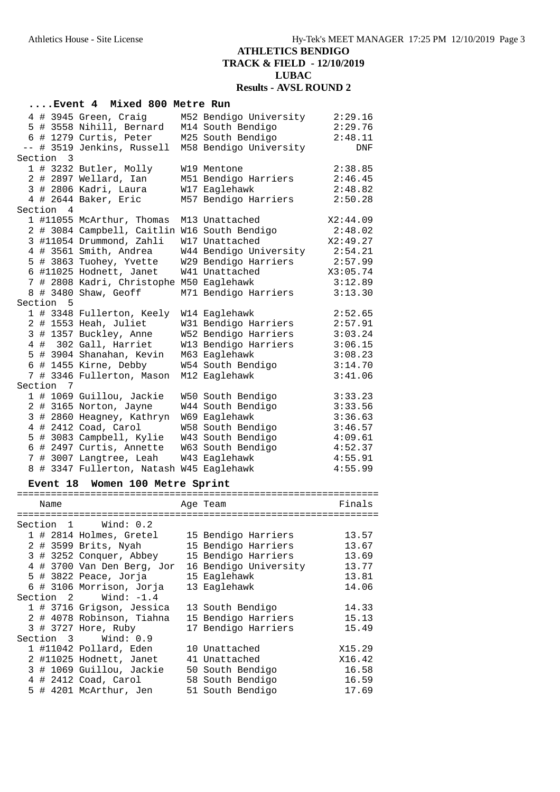|           |                 | Event 4 Mixed 800 Metre Run                      |                                        |                    |
|-----------|-----------------|--------------------------------------------------|----------------------------------------|--------------------|
|           |                 | 4 # 3945 Green, Craig                            | M52 Bendigo University                 | 2:29.16            |
|           |                 | 5 # 3558 Nihill, Bernard                         | M14 South Bendigo                      | 2:29.76            |
|           |                 | 6 # 1279 Curtis, Peter                           | M25 South Bendigo                      | 2:48.11            |
|           |                 | -- # 3519 Jenkins, Russell                       | M58 Bendigo University                 | DNF                |
| Section 3 |                 |                                                  |                                        |                    |
|           |                 | 1 # 3232 Butler, Molly                           | W19 Mentone                            | 2:38.85            |
|           |                 | 2 # 2897 Wellard, Ian                            | M51 Bendigo Harriers                   | 2:46.45            |
|           |                 | 3 # 2806 Kadri, Laura                            | W17 Eaglehawk                          | 2:48.82            |
|           |                 | 4 # 2644 Baker, Eric                             | M57 Bendigo Harriers                   | 2:50.28            |
| Section 4 |                 |                                                  |                                        |                    |
|           |                 | 1 #11055 McArthur, Thomas                        | M13 Unattached                         | X2:44.09           |
|           |                 | 2 # 3084 Campbell, Caitlin W16 South Bendigo     |                                        | 2:48.02            |
|           |                 | 3 #11054 Drummond, Zahli                         | W17 Unattached                         | X2:49.27           |
|           |                 | 4 # 3561 Smith, Andrea                           | W44 Bendigo University                 | 2:54.21            |
|           |                 | 5 # 3863 Tuohey, Yvette                          | W29 Bendigo Harriers                   | 2:57.99            |
|           |                 | 6 #11025 Hodnett, Janet                          | W41 Unattached                         | X3:05.74           |
|           |                 | 7 # 2808 Kadri, Christophe M50 Eaglehawk         |                                        | 3:12.89            |
|           |                 | 8 # 3480 Shaw, Geoff                             | M71 Bendigo Harriers                   | 3:13.30            |
| Section   | 5               |                                                  |                                        |                    |
|           |                 | 1 # 3348 Fullerton, Keely                        | W14 Eaglehawk                          | 2:52.65            |
|           |                 | 2 # 1553 Heah, Juliet                            | W31 Bendigo Harriers                   | 2:57.91            |
|           |                 | 3 # 1357 Buckley, Anne                           | W52 Bendigo Harriers                   | 3:03.24            |
|           |                 | 4 # 302 Gall, Harriet                            | W13 Bendigo Harriers                   | 3:06.15            |
|           |                 | 5 # 3904 Shanahan, Kevin                         | M63 Eaglehawk                          | 3:08.23            |
|           |                 | 6 # 1455 Kirne, Debby                            | W54 South Bendigo                      | 3:14.70            |
|           |                 | 7 # 3346 Fullerton, Mason                        | M12 Eaglehawk                          | 3:41.06            |
| Section 7 |                 |                                                  |                                        |                    |
|           |                 | 1 # 1069 Guillou, Jackie                         | W50 South Bendigo                      | 3:33.23            |
|           |                 | 2 # 3165 Norton, Jayne                           | W44 South Bendigo                      | 3:33.56            |
|           |                 | 3 # 2860 Heagney, Kathryn                        | W69 Eaglehawk                          | 3:36.63            |
|           |                 | 4 # 2412 Coad, Carol<br>5 # 3083 Campbell, Kylie | W58 South Bendigo<br>W43 South Bendigo | 3:46.57<br>4:09.61 |
|           |                 | 6 # 2497 Curtis, Annette                         | W63 South Bendigo                      | 4:52.37            |
|           |                 | 7 # 3007 Langtree, Leah                          | W43 Eaglehawk                          | 4:55.91            |
|           |                 | 8 # 3347 Fullerton, Natash W45 Eaglehawk         |                                        | 4:55.99            |
|           |                 |                                                  |                                        |                    |
|           | <b>Event 18</b> | Women 100 Metre Sprint                           |                                        |                    |
|           | Name            | ===================================              | :======================<br>Age Team    | Finals             |
|           |                 |                                                  |                                        |                    |
| Section 1 |                 | Wind: $0.2$                                      |                                        |                    |
|           |                 | 1 # 2814 Holmes, Gretel                          | 15 Bendigo Harriers                    | 13.57              |
|           |                 | 2 # 3599 Brits, Nyah                             | 15 Bendigo Harriers                    | 13.67              |
|           |                 | 3 # 3252 Conquer, Abbey                          | 15 Bendigo Harriers                    | 13.69              |
|           |                 | 4 # 3700 Van Den Berg, Jor                       | 16 Bendigo University                  | 13.77              |
|           |                 | 5 # 3822 Peace, Jorja                            | 15 Eaglehawk                           | 13.81              |
|           |                 | 6 # 3106 Morrison, Jorja                         | 13 Eaglehawk                           | 14.06              |
| Section   |                 | Wind: $-1.4$<br>$\mathbf{2}$                     |                                        |                    |
|           |                 | 1 # 3716 Grigson, Jessica                        | 13 South Bendigo                       | 14.33              |
|           |                 | 2 # 4078 Robinson, Tiahna                        | 15 Bendigo Harriers                    | 15.13              |
|           |                 | 3 # 3727 Hore, Ruby                              | 17 Bendigo Harriers                    | 15.49              |
| Section 3 |                 | Wind: 0.9                                        |                                        |                    |
|           |                 | 1 #11042 Pollard, Eden                           | 10 Unattached                          | X15.29             |
|           |                 | 2 #11025 Hodnett, Janet                          | 41 Unattached                          | X16.42             |
|           |                 | 3 # 1069 Guillou, Jackie                         | 50 South Bendigo                       | 16.58              |
|           |                 | 4 # 2412 Coad, Carol                             | 58 South Bendigo                       | 16.59              |
|           |                 | 5 # 4201 McArthur, Jen                           | 51 South Bendigo                       | 17.69              |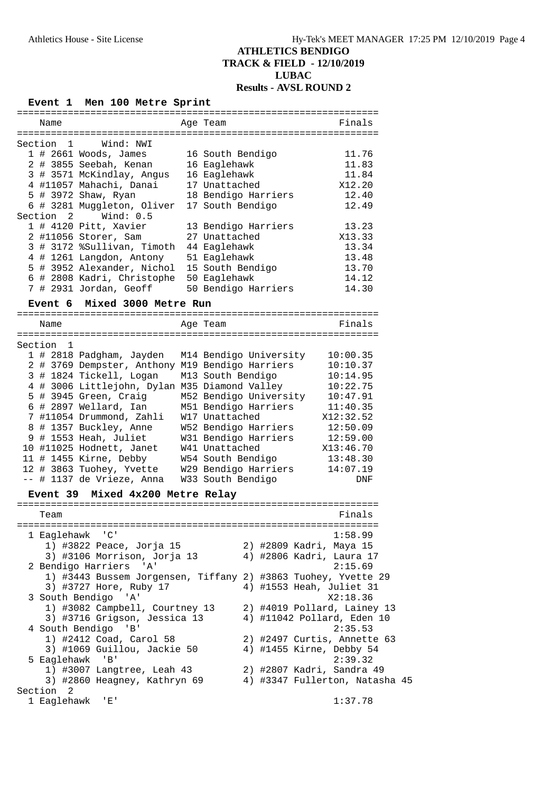| <b>Event</b> 1 | Men 100 Metre Sprint                                          |  |                        |  |                                             |  |
|----------------|---------------------------------------------------------------|--|------------------------|--|---------------------------------------------|--|
| Name           | =================================                             |  | Age Team               |  | =================================<br>Finals |  |
|                |                                                               |  |                        |  |                                             |  |
| Section 1      | Wind: NWI                                                     |  |                        |  |                                             |  |
|                | $1$ # 2661 Woods, James                                       |  | 16 South Bendigo       |  | 11.76                                       |  |
|                | 2 # 3855 Seebah, Kenan                                        |  | 16 Eaglehawk           |  | 11.83                                       |  |
|                | 3 # 3571 McKindlay, Angus                                     |  | 16 Eaglehawk           |  | 11.84                                       |  |
|                | 4 #11057 Mahachi, Danai                                       |  | 17 Unattached          |  | X12.20                                      |  |
|                | 5 # 3972 Shaw, Ryan                                           |  | 18 Bendigo Harriers    |  | 12.40                                       |  |
| Section 2      | 6 # 3281 Muggleton, Oliver<br>Wind: $0.5$                     |  | 17 South Bendigo       |  | 12.49                                       |  |
|                | 1 # 4120 Pitt, Xavier                                         |  | 13 Bendigo Harriers    |  | 13.23                                       |  |
|                | 2 #11056 Storer, Sam                                          |  | 27 Unattached          |  | X13.33                                      |  |
|                | 3 # 3172 %Sullivan, Timoth                                    |  | 44 Eaglehawk           |  | 13.34                                       |  |
|                | 4 # 1261 Langdon, Antony                                      |  | 51 Eaglehawk           |  | 13.48                                       |  |
|                | 5 # 3952 Alexander, Nichol                                    |  | 15 South Bendigo       |  | 13.70                                       |  |
|                | 6 # 2808 Kadri, Christophe                                    |  | 50 Eaglehawk           |  | 14.12                                       |  |
|                | 7 # 2931 Jordan, Geoff                                        |  | 50 Bendigo Harriers    |  | 14.30                                       |  |
|                | Event 6 Mixed 3000 Metre Run                                  |  |                        |  |                                             |  |
|                |                                                               |  |                        |  |                                             |  |
| Name           |                                                               |  | Age Team               |  | Finals                                      |  |
|                |                                                               |  |                        |  |                                             |  |
| Section<br>- 1 |                                                               |  |                        |  |                                             |  |
|                | 1 # 2818 Padgham, Jayden                                      |  | M14 Bendigo University |  | 10:00.35                                    |  |
|                | 2 # 3769 Dempster, Anthony M19 Bendigo Harriers               |  |                        |  | 10:10.37                                    |  |
|                | 3 # 1824 Tickell, Logan                                       |  | M13 South Bendigo      |  | 10:14.95                                    |  |
|                | 4 # 3006 Littlejohn, Dylan M35 Diamond Valley                 |  |                        |  | 10:22.75                                    |  |
|                | 5 # 3945 Green, Craig                                         |  | M52 Bendigo University |  | 10:47.91                                    |  |
|                | 6 # 2897 Wellard, Ian                                         |  | M51 Bendigo Harriers   |  | 11:40.35                                    |  |
|                | 7 #11054 Drummond, Zahli                                      |  | W17 Unattached         |  | X12:32.52                                   |  |
|                | 8 # 1357 Buckley, Anne                                        |  | W52 Bendigo Harriers   |  | 12:50.09                                    |  |
|                | 9 # 1553 Heah, Juliet                                         |  | W31 Bendigo Harriers   |  | 12:59.00                                    |  |
|                | 10 #11025 Hodnett, Janet                                      |  | W41 Unattached         |  | X13:46.70                                   |  |
|                | 11 # 1455 Kirne, Debby                                        |  | W54 South Bendigo      |  | 13:48.30                                    |  |
|                | 12 # 3863 Tuohey, Yvette                                      |  | W29 Bendigo Harriers   |  | 14:07.19                                    |  |
|                | -- # 1137 de Vrieze, Anna                                     |  | W33 South Bendigo      |  | DNF                                         |  |
|                | Event 39 Mixed 4x200 Metre Relay                              |  |                        |  |                                             |  |
|                |                                                               |  |                        |  |                                             |  |
| Team           |                                                               |  |                        |  | Finals                                      |  |
|                |                                                               |  |                        |  |                                             |  |
|                | 1 Eaglehawk 'C'                                               |  |                        |  | 1:58.99                                     |  |
|                | 1) #3822 Peace, Jorja 15                                      |  |                        |  | 2) #2809 Kadri, Maya 15                     |  |
|                | 3) #3106 Morrison, Jorja 13                                   |  |                        |  | 4) #2806 Kadri, Laura 17                    |  |
|                | 2 Bendigo Harriers 'A'                                        |  |                        |  | 2:15.69                                     |  |
|                | 1) #3443 Bussem Jorgensen, Tiffany 2) #3863 Tuohey, Yvette 29 |  |                        |  |                                             |  |
|                | 3) #3727 Hore, Ruby 17                                        |  |                        |  | 4) #1553 Heah, Juliet 31                    |  |
|                | 3 South Bendigo 'A'                                           |  |                        |  | X2:18.36                                    |  |
|                | 1) #3082 Campbell, Courtney 13                                |  |                        |  | 2) #4019 Pollard, Lainey 13                 |  |
|                | 3) #3716 Grigson, Jessica 13                                  |  |                        |  | 4) #11042 Pollard, Eden 10                  |  |
|                | 4 South Bendigo 'B'                                           |  |                        |  | 2:35.53                                     |  |
|                | 1) #2412 Coad, Carol 58                                       |  |                        |  | 2) #2497 Curtis, Annette 63                 |  |
|                | 3) #1069 Guillou, Jackie 50                                   |  |                        |  | 4) #1455 Kirne, Debby 54                    |  |
|                | 5 Eaglehawk 'B'                                               |  |                        |  | 2:39.32                                     |  |
|                | 1) #3007 Langtree, Leah 43                                    |  |                        |  | 2) #2807 Kadri, Sandra 49                   |  |
|                | 3) #2860 Heagney, Kathryn 69                                  |  |                        |  | 4) #3347 Fullerton, Natasha 45              |  |
| Section 2      |                                                               |  |                        |  |                                             |  |
| 1 Eaglehawk    | 「E!                                                           |  |                        |  | 1:37.78                                     |  |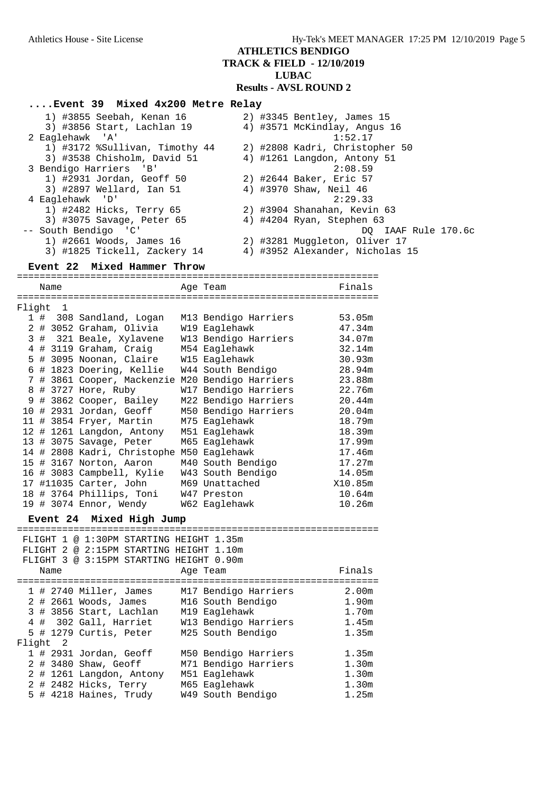**ATHLETICS BENDIGO TRACK & FIELD - 12/10/2019 LUBAC**

**Results - AVSL ROUND 2**

#### **....Event 39 Mixed 4x200 Metre Relay**

| 1) #3855 Seebah, Kenan 16      |  | 2) #3345 Bentley, James 15      |
|--------------------------------|--|---------------------------------|
| 3) #3856 Start, Lachlan 19     |  | 4) #3571 McKindlay, Angus 16    |
| 2 Eaglehawk 'A'                |  | 1:52.17                         |
| 1) #3172 %Sullivan, Timothy 44 |  | 2) #2808 Kadri, Christopher 50  |
| 3) #3538 Chisholm, David 51    |  | 4) #1261 Langdon, Antony 51     |
| 3 Bendigo Harriers 'B'         |  | 2:08.59                         |
| 1) #2931 Jordan, Geoff 50      |  | 2) #2644 Baker, Eric 57         |
| 3) #2897 Wellard, Ian 51       |  | 4) #3970 Shaw, Neil 46          |
| 4 Eaglehawk 'D'                |  | 2:29.33                         |
| 1) #2482 Hicks, Terry 65       |  | 2) #3904 Shanahan, Kevin 63     |
| 3) #3075 Savage, Peter 65      |  | 4) #4204 Ryan, Stephen 63       |
| -- South Bendigo 'C'           |  | DO IAAF Rule 170.6c             |
| 1) #2661 Woods, James 16       |  | 2) #3281 Muggleton, Oliver 17   |
| 3) #1825 Tickell, Zackery 14   |  | 4) #3952 Alexander, Nicholas 15 |

#### **Event 22 Mixed Hammer Throw**

================================================================ Name **Age Team** Age Team Finals ================================================================ Flight 1

|  | 1 # 308 Sandland, Logan     | M13 Bendigo Harriers | 53.05m  |
|--|-----------------------------|----------------------|---------|
|  | 2 # 3052 Graham, Olivia     | W19 Eaglehawk        | 47.34m  |
|  | 3 # 321 Beale, Xylavene     | W13 Bendigo Harriers | 34.07m  |
|  | 4 # 3119 Graham, Craig      | M54 Eaglehawk        | 32.14m  |
|  | 5 # 3095 Noonan, Claire     | W15 Eaglehawk        | 30.93m  |
|  | 6 # 1823 Doering, Kellie    | W44 South Bendigo    | 28.94m  |
|  | 7 # 3861 Cooper, Mackenzie  | M20 Bendigo Harriers | 23.88m  |
|  | 8 # 3727 Hore, Ruby         | W17 Bendigo Harriers | 22.76m  |
|  | 9 # 3862 Cooper, Bailey     | M22 Bendigo Harriers | 20.44m  |
|  | 10 # 2931 Jordan, Geoff     | M50 Bendigo Harriers | 20.04m  |
|  | 11 # 3854 Fryer, Martin     | M75 Eaglehawk        | 18.79m  |
|  | 12 # 1261 Langdon, Antony   | M51 Eaglehawk        | 18.39m  |
|  | 13 # 3075 Savage, Peter     | M65 Eaglehawk        | 17.99m  |
|  | 14 # 2808 Kadri, Christophe | M50 Eaglehawk        | 17.46m  |
|  | 15 # 3167 Norton, Aaron     | M40 South Bendigo    | 17.27m  |
|  | 16 # 3083 Campbell, Kylie   | W43 South Bendigo    | 14.05m  |
|  | 17 #11035 Carter, John      | M69 Unattached       | X10.85m |
|  | 18 # 3764 Phillips, Toni    | W47 Preston          | 10.64m  |
|  | 19 # 3074 Ennor, Wendy      | W62 Eaglehawk        | 10.26m  |

#### **Event 24 Mixed High Jump**

|        | Name                       | FLIGHT 1 @ 1:30PM STARTING HEIGHT 1.35m<br>FLIGHT 2 @ 2:15PM STARTING HEIGHT 1.10m<br>FLIGHT 3 @ 3:15PM STARTING HEIGHT 0.90m     | Age Team                                                                                                | Finals                                                |
|--------|----------------------------|-----------------------------------------------------------------------------------------------------------------------------------|---------------------------------------------------------------------------------------------------------|-------------------------------------------------------|
|        |                            | $1$ # 2740 Miller, James<br>$2$ # 2661 Woods, James<br>3 # 3856 Start, Lachlan<br>4 # 302 Gall, Harriet<br>5 # 1279 Curtis, Peter | M17 Bendigo Harriers<br>M16 South Bendigo<br>M19 Eaglehawk<br>W13 Bendigo Harriers<br>M25 South Bendigo | 2.00 <sub>m</sub><br>1.90m<br>1.70m<br>1.45m<br>1.35m |
| Flight | $\overline{\phantom{0}}^2$ |                                                                                                                                   |                                                                                                         |                                                       |
|        |                            | $1$ # 2931 Jordan, Geoff<br>2 # 3480 Shaw, Geoff                                                                                  | M50 Bendigo Harriers<br>M71 Bendigo Harriers                                                            | 1.35m<br>1.30m                                        |
|        |                            | 2 # 1261 Langdon, Antony                                                                                                          | M51 Eaglehawk                                                                                           | 1.30 <sub>m</sub>                                     |
|        |                            | 2 # 2482 Hicks, Terry                                                                                                             | M65 Eaglehawk                                                                                           | 1.30m                                                 |
|        |                            | 5 # 4218 Haines, Trudy                                                                                                            | W49 South Bendigo                                                                                       | 1.25m                                                 |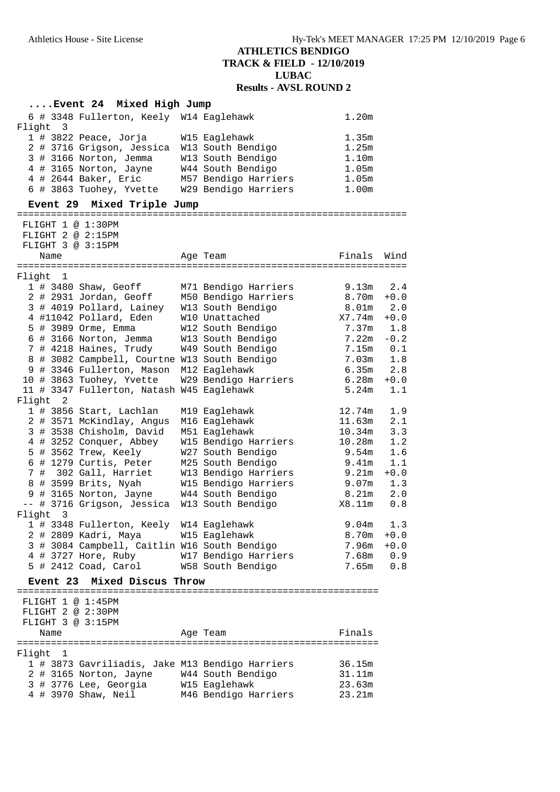#### **....Event 24 Mixed High Jump** 6 # 3348 Fullerton, Keely W14 Eaglehawk 1.20m Flight 3 1 # 3822 Peace, Jorja W15 Eaglehawk 1.35m 2 # 3716 Grigson, Jessica W13 South Bendigo 1.25m 3 # 3166 Norton, Jemma W13 South Bendigo 1.10m 4 # 3165 Norton, Jayne W44 South Bendigo 1.05m 4 # 2644 Baker, Eric M57 Bendigo Harriers 1.05m 6 # 3863 Tuohey, Yvette W29 Bendigo Harriers 1.00m **Event 29 Mixed Triple Jump** ===================================================================== FLIGHT 1 @ 1:30PM FLIGHT 2 @ 2:15PM FLIGHT 3 @ 3:15PM Name **Age Team** Age Team Finals Wind ===================================================================== Flight 1 1 # 3480 Shaw, Geoff M71 Bendigo Harriers 9.13m 2.4 2 # 2931 Jordan, Geoff M50 Bendigo Harriers 8.70m +0.0 3 # 4019 Pollard, Lainey W13 South Bendigo 8.01m 2.0 4 #11042 Pollard, Eden W10 Unattached X7.74m +0.0 5 # 3989 Orme, Emma W12 South Bendigo 7.37m 1.8 6 # 3166 Norton, Jemma W13 South Bendigo 7.22m -0.2 7 # 4218 Haines, Trudy W49 South Bendigo 7.15m 0.1 8 # 3082 Campbell, Courtne W13 South Bendigo 7.03m 1.8 9 # 3346 Fullerton, Mason M12 Eaglehawk 6.35m 2.8 10 # 3863 Tuohey, Yvette W29 Bendigo Harriers 6.28m +0.0 11 # 3347 Fullerton, Natash W45 Eaglehawk 5.24m 1.1 Flight 2 1 # 3856 Start, Lachlan M19 Eaglehawk 12.74m 1.9 2 # 3571 McKindlay, Angus M16 Eaglehawk 11.63m 2.1 3 # 3538 Chisholm, David M51 Eaglehawk 10.34m 3.3 4 # 3252 Conquer, Abbey W15 Bendigo Harriers 10.28m 1.2 5 # 3562 Trew, Keely W27 South Bendigo 9.54m 1.6 6 # 1279 Curtis, Peter M25 South Bendigo 9.41m 1.1 7 # 302 Gall, Harriet W13 Bendigo Harriers 9.21m +0.0 8 # 3599 Brits, Nyah W15 Bendigo Harriers 9.07m 1.3 9 # 3165 Norton, Jayne W44 South Bendigo 8.21m 2.0 -- # 3716 Grigson, Jessica W13 South Bendigo X8.11m 0.8 Flight 3 1 # 3348 Fullerton, Keely W14 Eaglehawk 9.04m 1.3 2 # 2809 Kadri, Maya W15 Eaglehawk 8.70m +0.0 3 # 3084 Campbell, Caitlin W16 South Bendigo 7.96m +0.0 4 # 3727 Hore, Ruby W17 Bendigo Harriers 7.68m 0.9 5 # 2412 Coad, Carol W58 South Bendigo 7.65m 0.8 **Event 23 Mixed Discus Throw** ================================================================ FLIGHT 1 @ 1:45PM FLIGHT 2 @ 2:30PM FLIGHT 3 @ 3:15PM Name Ream Age Team Rinals ================================================================ Flight 1 1 # 3873 Gavriliadis, Jake M13 Bendigo Harriers 36.15m 2 # 3165 Norton, Jayne W44 South Bendigo 31.11m 3 # 3776 Lee, Georgia W15 Eaglehawk 23.63m 4 # 3970 Shaw, Neil M46 Bendigo Harriers 23.21m